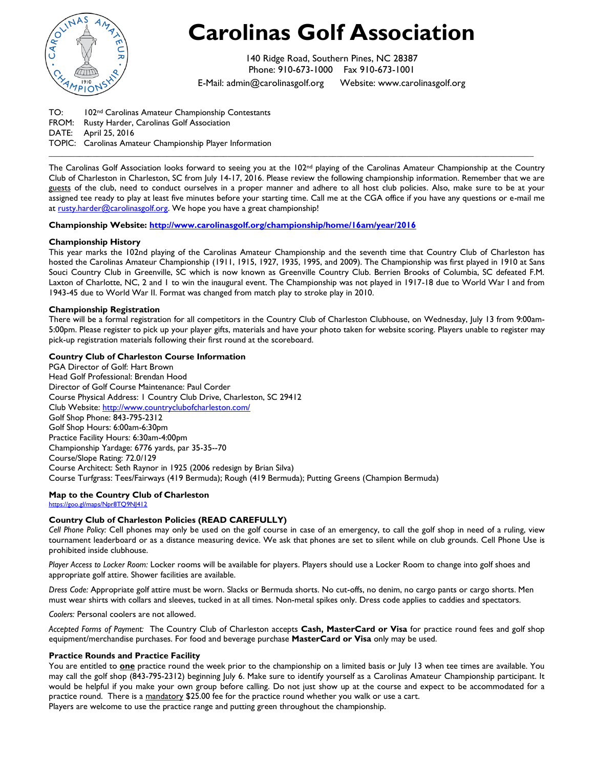

# **Carolinas Golf Association**

140 Ridge Road, Southern Pines, NC 28387 Phone: 910-673-1000 Fax 910-673-1001

E-Mail: [admin@carolinasgolf.org](mailto:admin@carolinasgolf.org) Website: www.carolinasgolf.org

TO: 102nd Carolinas Amateur Championship Contestants FROM: Rusty Harder, Carolinas Golf Association DATE: April 25, 2016 TOPIC: Carolinas Amateur Championship Player Information

The Carolinas Golf Association looks forward to seeing you at the 102nd playing of the Carolinas Amateur Championship at the Country Club of Charleston in Charleston, SC from July 14-17, 2016. Please review the following championship information. Remember that we are guests of the club, need to conduct ourselves in a proper manner and adhere to all host club policies. Also, make sure to be at your assigned tee ready to play at least five minutes before your starting time. Call me at the CGA office if you have any questions or e-mail me a[t rusty.harder@carolinasgolf.org.](mailto:rusty.harder@carolinasgolf.org) We hope you have a great championship!

**\_\_\_\_\_\_\_\_\_\_\_\_\_\_\_\_\_\_\_\_\_\_\_\_\_\_\_\_\_\_\_\_\_\_\_\_\_\_\_\_\_\_\_\_\_\_\_\_\_\_\_\_\_\_\_\_\_\_\_\_\_\_\_\_\_\_\_\_\_\_\_\_\_\_\_\_\_\_\_\_\_\_\_\_\_\_\_\_\_\_\_\_\_\_\_\_\_\_\_\_\_\_\_\_\_\_\_\_\_\_\_**

**Championship Website:<http://www.carolinasgolf.org/championship/home/16am/year/2016>**

# **Championship History**

This year marks the 102nd playing of the Carolinas Amateur Championship and the seventh time that Country Club of Charleston has hosted the Carolinas Amateur Championship (1911, 1915, 1927, 1935, 1995, and 2009). The Championship was first played in 1910 at Sans Souci Country Club in Greenville, SC which is now known as Greenville Country Club. Berrien Brooks of Columbia, SC defeated F.M. Laxton of Charlotte, NC, 2 and 1 to win the inaugural event. The Championship was not played in 1917-18 due to World War I and from 1943-45 due to World War II. Format was changed from match play to stroke play in 2010.

# **Championship Registration**

There will be a formal registration for all competitors in the Country Club of Charleston Clubhouse, on Wednesday, July 13 from 9:00am-5:00pm. Please register to pick up your player gifts, materials and have your photo taken for website scoring. Players unable to register may pick-up registration materials following their first round at the scoreboard.

# **Country Club of Charleston Course Information**

PGA Director of Golf: Hart Brown Head Golf Professional: Brendan Hood Director of Golf Course Maintenance: Paul Corder Course Physical Address: 1 Country Club Drive, Charleston, SC 29412 Club Website: <http://www.countryclubofcharleston.com/> Golf Shop Phone: 843-795-2312 Golf Shop Hours: 6:00am-6:30pm Practice Facility Hours: 6:30am-4:00pm Championship Yardage: 6776 yards, par 35-35--70 Course/Slope Rating: 72.0/129 Course Architect: Seth Raynor in 1925 (2006 redesign by Brian Silva) Course Turfgrass: Tees/Fairways (419 Bermuda); Rough (419 Bermuda); Putting Greens (Champion Bermuda)

# **Map to the Country Club of Charleston**

<https://goo.gl/maps/Npr8TQ9NJ412>

## **Country Club of Charleston Policies (READ CAREFULLY)**

*Cell Phone Policy:* Cell phones may only be used on the golf course in case of an emergency, to call the golf shop in need of a ruling, view tournament leaderboard or as a distance measuring device. We ask that phones are set to silent while on club grounds. Cell Phone Use is prohibited inside clubhouse.

*Player Access to Locker Room:* Locker rooms will be available for players. Players should use a Locker Room to change into golf shoes and appropriate golf attire. Shower facilities are available.

*Dress Code:* Appropriate golf attire must be worn. Slacks or Bermuda shorts. No cut-offs, no denim, no cargo pants or cargo shorts. Men must wear shirts with collars and sleeves, tucked in at all times. Non-metal spikes only. Dress code applies to caddies and spectators.

*Coolers:* Personal coolers are not allowed.

*Accepted Forms of Payment:* The Country Club of Charleston accepts **Cash, MasterCard or Visa** for practice round fees and golf shop equipment/merchandise purchases. For food and beverage purchase **MasterCard or Visa** only may be used.

## **Practice Rounds and Practice Facility**

You are entitled to **one** practice round the week prior to the championship on a limited basis or July 13 when tee times are available. You may call the golf shop (843-795-2312) beginning July 6. Make sure to identify yourself as a Carolinas Amateur Championship participant. It would be helpful if you make your own group before calling. Do not just show up at the course and expect to be accommodated for a practice round. There is a mandatory \$25.00 fee for the practice round whether you walk or use a cart. Players are welcome to use the practice range and putting green throughout the championship.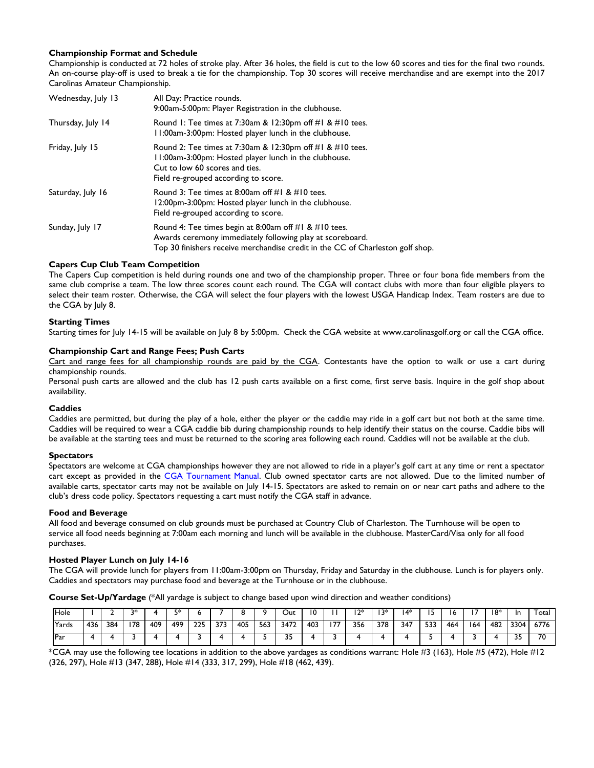## **Championship Format and Schedule**

Championship is conducted at 72 holes of stroke play. After 36 holes, the field is cut to the low 60 scores and ties for the final two rounds. An on-course play-off is used to break a tie for the championship. Top 30 scores will receive merchandise and are exempt into the 2017 Carolinas Amateur Championship.

| Wednesday, July 13 | All Day: Practice rounds.<br>9:00am-5:00pm: Player Registration in the clubhouse.                                                                                                                    |  |  |  |  |  |  |  |
|--------------------|------------------------------------------------------------------------------------------------------------------------------------------------------------------------------------------------------|--|--|--|--|--|--|--|
| Thursday, July 14  | Round 1: Tee times at 7:30am & 12:30pm of $\#$ 1 & $\#$ 10 tees.<br>11:00am-3:00pm: Hosted player lunch in the clubhouse.                                                                            |  |  |  |  |  |  |  |
| Friday, July 15    | Round 2: Tee times at 7:30am & 12:30pm of $\#$ 1 & $\#$ 10 tees.<br>11:00am-3:00pm: Hosted player lunch in the clubhouse.<br>Cut to low 60 scores and ties.<br>Field re-grouped according to score.  |  |  |  |  |  |  |  |
| Saturday, July 16  | Round 3: Tee times at 8:00am off $#I \& #IO$ tees.<br>12:00pm-3:00pm: Hosted player lunch in the clubhouse.<br>Field re-grouped according to score.                                                  |  |  |  |  |  |  |  |
| Sunday, July 17    | Round 4: Tee times begin at 8:00am off #1 & #10 tees.<br>Awards ceremony immediately following play at scoreboard.<br>Top 30 finishers receive merchandise credit in the CC of Charleston golf shop. |  |  |  |  |  |  |  |

## **Capers Cup Club Team Competition**

The Capers Cup competition is held during rounds one and two of the championship proper. Three or four bona fide members from the same club comprise a team. The low three scores count each round. The CGA will contact clubs with more than four eligible players to select their team roster. Otherwise, the CGA will select the four players with the lowest USGA Handicap Index. Team rosters are due to the CGA by July 8.

#### **Starting Times**

Starting times for July 14-15 will be available on July 8 by 5:00pm. Check the CGA website at [www.carolinasgolf.org](http://www.thecga.org/) or call the CGA office.

#### **Championship Cart and Range Fees; Push Carts**

Cart and range fees for all championship rounds are paid by the CGA. Contestants have the option to walk or use a cart during championship rounds.

Personal push carts are allowed and the club has 12 push carts available on a first come, first serve basis. Inquire in the golf shop about availability.

#### **Caddies**

Caddies are permitted, but during the play of a hole, either the player or the caddie may ride in a golf cart but not both at the same time. Caddies will be required to wear a CGA caddie bib during championship rounds to help identify their status on the course. Caddie bibs will be available at the starting tees and must be returned to the scoring area following each round. Caddies will not be available at the club.

#### **Spectators**

Spectators are welcome at CGA championships however they are not allowed to ride in a player's golf cart at any time or rent a spectator cart except as provided in the [CGA Tournament Manual.](http://www.carolinasgolf.org/tourn/tournamentmanual.pdf) Club owned spectator carts are not allowed. Due to the limited number of available carts, spectator carts may not be available on July 14-15. Spectators are asked to remain on or near cart paths and adhere to the club's dress code policy. Spectators requesting a cart must notify the CGA staff in advance.

#### **Food and Beverage**

All food and beverage consumed on club grounds must be purchased at Country Club of Charleston. The Turnhouse will be open to service all food needs beginning at 7:00am each morning and lunch will be available in the clubhouse. MasterCard/Visa only for all food purchases.

#### **Hosted Player Lunch on July 14-16**

The CGA will provide lunch for players from 11:00am-3:00pm on Thursday, Friday and Saturday in the clubhouse. Lunch is for players only. Caddies and spectators may purchase food and beverage at the Turnhouse or in the clubhouse.

**Course Set-Up/Yardage** (\*All yardage is subject to change based upon wind direction and weather conditions)

| Hole  |     |     | ว∗  |     | г×  |     |     |     |     | Out  |     |     | ו ?∗ | ∣ ?* | 14* |     | ס י |     | ∣8* | In        | I otal |
|-------|-----|-----|-----|-----|-----|-----|-----|-----|-----|------|-----|-----|------|------|-----|-----|-----|-----|-----|-----------|--------|
| Yards | 436 | 384 | 178 | 409 | 499 | 225 | 373 | 405 | 563 | 3472 | 403 | 177 | 356  | 378  | 347 | 533 | 464 | 164 | 482 | 3304      | 6776   |
| Par   |     |     |     |     |     |     |     |     |     | --   |     |     |      |      |     |     |     |     |     | ח ר<br>-- | 70     |

 $*$ CGA may use the following tee locations in addition to the above yardages as conditions warrant: Hole #3 (163), Hole #5 (472), Hole #12 (326, 297), Hole #13 (347, 288), Hole #14 (333, 317, 299), Hole #18 (462, 439).